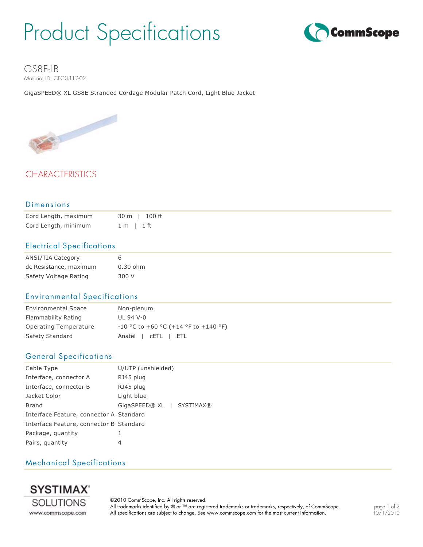# Product Specifications



GS8E-LB Material ID: CPC3312-02

GigaSPEED® XL GS8E Stranded Cordage Modular Patch Cord, Light Blue Jacket



# CHARACTERISTICS

### Dimensions

| Cord Length, maximum | 30 m l 100 ft  |
|----------------------|----------------|
| Cord Length, minimum | $1 m$   $1 ft$ |

# Electrical Specifications

| <b>ANSI/TIA Category</b> | 6          |
|--------------------------|------------|
| dc Resistance, maximum   | $0.30$ ohm |
| Safety Voltage Rating    | 300 V      |

# Environmental Specifications

| <b>Environmental Space</b> | Non-plenum                             |  |
|----------------------------|----------------------------------------|--|
| Flammability Rating        | UL 94 V-0                              |  |
| Operating Temperature      | $-10$ °C to +60 °C (+14 °F to +140 °F) |  |
| Safety Standard            | Anatel   CETL   ETL                    |  |

### General Specifications

| Cable Type                              | U/UTP (unshielded)        |  |
|-----------------------------------------|---------------------------|--|
| Interface, connector A                  | RJ45 plug                 |  |
| Interface, connector B                  | RJ45 plug                 |  |
| Jacket Color                            | Light blue                |  |
| Brand                                   | GigaSPEED® XL   SYSTIMAX® |  |
| Interface Feature, connector A Standard |                           |  |
| Interface Feature, connector B Standard |                           |  |
| Package, quantity                       | 1                         |  |
| Pairs, quantity                         | 4                         |  |

# Mechanical Specifications



©2010 CommScope, Inc. All rights reserved. All trademarks identified by ® or ™ are registered trademarks or trademarks, respectively, of CommScope. All specifications are subject to change. See www.commscope.com for the most current information.